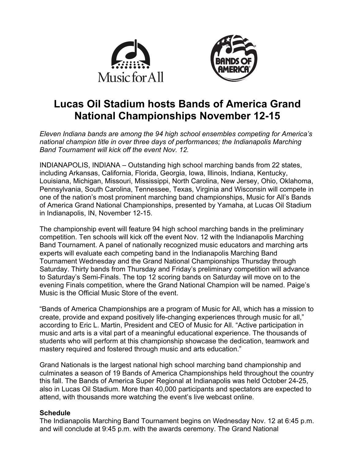



# **Lucas Oil Stadium hosts Bands of America Grand National Championships November 12-15**

*Eleven Indiana bands are among the 94 high school ensembles competing for America's national champion title in over three days of performances; the Indianapolis Marching Band Tournament will kick off the event Nov. 12.*

INDIANAPOLIS, INDIANA – Outstanding high school marching bands from 22 states, including Arkansas, California, Florida, Georgia, Iowa, Illinois, Indiana, Kentucky, Louisiana, Michigan, Missouri, Mississippi, North Carolina, New Jersey, Ohio, Oklahoma, Pennsylvania, South Carolina, Tennessee, Texas, Virginia and Wisconsin will compete in one of the nation's most prominent marching band championships, Music for All's Bands of America Grand National Championships, presented by Yamaha, at Lucas Oil Stadium in Indianapolis, IN, November 12-15.

The championship event will feature 94 high school marching bands in the preliminary competition. Ten schools will kick off the event Nov. 12 with the Indianapolis Marching Band Tournament. A panel of nationally recognized music educators and marching arts experts will evaluate each competing band in the Indianapolis Marching Band Tournament Wednesday and the Grand National Championships Thursday through Saturday. Thirty bands from Thursday and Friday's preliminary competition will advance to Saturday's Semi-Finals. The top 12 scoring bands on Saturday will move on to the evening Finals competition, where the Grand National Champion will be named. Paige's Music is the Official Music Store of the event.

"Bands of America Championships are a program of Music for All, which has a mission to create, provide and expand positively life-changing experiences through music for all," according to Eric L. Martin, President and CEO of Music for All. "Active participation in music and arts is a vital part of a meaningful educational experience. The thousands of students who will perform at this championship showcase the dedication, teamwork and mastery required and fostered through music and arts education."

Grand Nationals is the largest national high school marching band championship and culminates a season of 19 Bands of America Championships held throughout the country this fall. The Bands of America Super Regional at Indianapolis was held October 24-25, also in Lucas Oil Stadium. More than 40,000 participants and spectators are expected to attend, with thousands more watching the event's live webcast online.

# **Schedule**

The Indianapolis Marching Band Tournament begins on Wednesday Nov. 12 at 6:45 p.m. and will conclude at 9:45 p.m. with the awards ceremony. The Grand National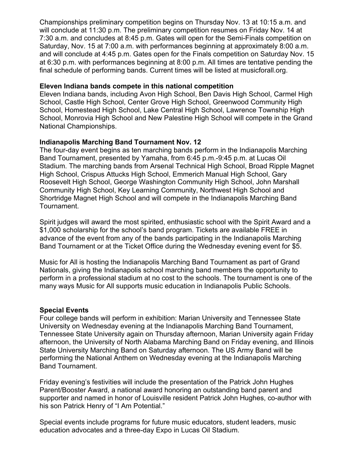Championships preliminary competition begins on Thursday Nov. 13 at 10:15 a.m. and will conclude at 11:30 p.m. The preliminary competition resumes on Friday Nov. 14 at 7:30 a.m. and concludes at 8:45 p.m. Gates will open for the Semi-Finals competition on Saturday, Nov. 15 at 7:00 a.m. with performances beginning at approximately 8:00 a.m. and will conclude at 4:45 p.m. Gates open for the Finals competition on Saturday Nov. 15 at 6:30 p.m. with performances beginning at 8:00 p.m. All times are tentative pending the final schedule of performing bands. Current times will be listed at musicforall.org.

#### **Eleven Indiana bands compete in this national competition**

Eleven Indiana bands, including Avon High School, Ben Davis High School, Carmel High School, Castle High School, Center Grove High School, Greenwood Community High School, Homestead High School, Lake Central High School, Lawrence Township High School, Monrovia High School and New Palestine High School will compete in the Grand National Championships.

# **Indianapolis Marching Band Tournament Nov. 12**

The four-day event begins as ten marching bands perform in the Indianapolis Marching Band Tournament, presented by Yamaha, from 6:45 p.m.-9:45 p.m. at Lucas Oil Stadium. The marching bands from Arsenal Technical High School, Broad Ripple Magnet High School, Crispus Attucks High School, Emmerich Manual High School, Gary Roosevelt High School, George Washington Community High School, John Marshall Community High School, Key Learning Community, Northwest High School and Shortridge Magnet High School and will compete in the Indianapolis Marching Band Tournament.

Spirit judges will award the most spirited, enthusiastic school with the Spirit Award and a \$1,000 scholarship for the school's band program. Tickets are available FREE in advance of the event from any of the bands participating in the Indianapolis Marching Band Tournament or at the Ticket Office during the Wednesday evening event for \$5.

Music for All is hosting the Indianapolis Marching Band Tournament as part of Grand Nationals, giving the Indianapolis school marching band members the opportunity to perform in a professional stadium at no cost to the schools. The tournament is one of the many ways Music for All supports music education in Indianapolis Public Schools.

#### **Special Events**

Four college bands will perform in exhibition: Marian University and Tennessee State University on Wednesday evening at the Indianapolis Marching Band Tournament, Tennessee State University again on Thursday afternoon, Marian University again Friday afternoon, the University of North Alabama Marching Band on Friday evening, and Illinois State University Marching Band on Saturday afternoon. The US Army Band will be performing the National Anthem on Wednesday evening at the Indianapolis Marching Band Tournament.

Friday evening's festivities will include the presentation of the Patrick John Hughes Parent/Booster Award, a national award honoring an outstanding band parent and supporter and named in honor of Louisville resident Patrick John Hughes, co-author with his son Patrick Henry of "I Am Potential."

Special events include programs for future music educators, student leaders, music education advocates and a three-day Expo in Lucas Oil Stadium.